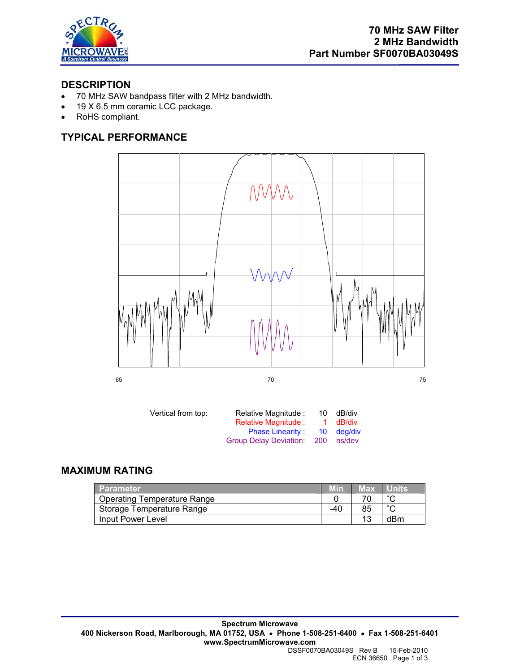

## **DESCRIPTION**

- 70 MHz SAW bandpass filter with 2 MHz bandwidth.
- 19 X 6.5 mm ceramic LCC package.
- RoHS compliant.

# **TYPICAL PERFORMANCE**



| Vertical from top: | Relative Magnitude :          | 10    | dB/div     |
|--------------------|-------------------------------|-------|------------|
|                    | Relative Magnitude :          | -1.   | dB/div     |
|                    | <b>Phase Linearity:</b>       |       | 10 dea/div |
|                    | <b>Group Delay Deviation:</b> | - 200 | ns/dev     |

## **MAXIMUM RATING**

| <b>Parameter</b>                   |     | Max | <b>Nunits</b> |
|------------------------------------|-----|-----|---------------|
| <b>Operating Temperature Range</b> |     |     | $\sim$        |
| Storage Temperature Range          | -40 | 85  | $\sim$        |
| Input Power Level                  |     |     | dBm           |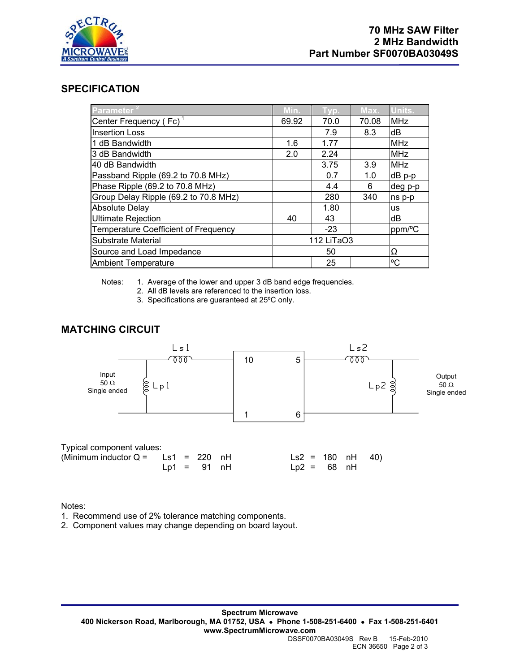

#### **SPECIFICATION**

| <b>Parameter</b>                      | Min.       | Typ.  | Max.  | Units.     |
|---------------------------------------|------------|-------|-------|------------|
| Center Frequency (Fc) <sup>1</sup>    | 69.92      | 70.0  | 70.08 | <b>MHz</b> |
| <b>Insertion Loss</b>                 |            | 7.9   | 8.3   | dB         |
| 1 dB Bandwidth                        | 1.6        | 1.77  |       | <b>MHz</b> |
| 3 dB Bandwidth                        | 2.0        | 2.24  |       | <b>MHz</b> |
| 40 dB Bandwidth                       |            | 3.75  | 3.9   | <b>MHz</b> |
| Passband Ripple (69.2 to 70.8 MHz)    |            | 0.7   | 1.0   | dB p-p     |
| Phase Ripple (69.2 to 70.8 MHz)       |            | 4.4   | 6     | deg p-p    |
| Group Delay Ripple (69.2 to 70.8 MHz) |            | 280   | 340   | ns p-p     |
| <b>Absolute Delay</b>                 |            | 1.80  |       | <b>us</b>  |
| <b>Ultimate Rejection</b>             | 40         | 43    |       | dB         |
| Temperature Coefficient of Frequency  |            | $-23$ |       | ppm/°C     |
| Substrate Material                    | 112 LiTaO3 |       |       |            |
| Source and Load Impedance             | 50         |       | Ω     |            |
| <b>Ambient Temperature</b>            |            | 25    |       | °C         |

Notes: 1. Average of the lower and upper 3 dB band edge frequencies.

- 2. All dB levels are referenced to the insertion loss.
- 3. Specifications are guaranteed at 25ºC only.

#### **MATCHING CIRCUIT**



Notes:

1. Recommend use of 2% tolerance matching components.

2. Component values may change depending on board layout.

ECN 36650 Page 2 of 3